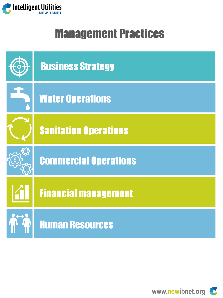

## Management Practices



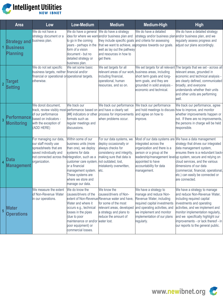

|                | Area                                                      | Low                                                                                                                                                                                | Low-Medium                                                                                                                                                                                                             | <b>Medium</b>                                                                                                                                                                                  | Medium-High                                                                                                                                                                                                         | <b>High</b>                                                                                                                                                                                                                                                                                                                                                                               |
|----------------|-----------------------------------------------------------|------------------------------------------------------------------------------------------------------------------------------------------------------------------------------------|------------------------------------------------------------------------------------------------------------------------------------------------------------------------------------------------------------------------|------------------------------------------------------------------------------------------------------------------------------------------------------------------------------------------------|---------------------------------------------------------------------------------------------------------------------------------------------------------------------------------------------------------------------|-------------------------------------------------------------------------------------------------------------------------------------------------------------------------------------------------------------------------------------------------------------------------------------------------------------------------------------------------------------------------------------------|
| 1 <sup>1</sup> | <b>Strategy and</b><br><b>Business</b><br><b>Planning</b> | We do not have a<br>strategy document or a<br>business plan.                                                                                                                       | We do have a general<br>to go in the coming<br>years - perhaps in the<br>form of a vision<br>document - but no<br>detailed strategy or<br>business plan.                                                               | We do have a strategy<br>idea for where we want and/or business plan and<br>they include specific goals<br>well as lay out the pathway<br>and resources in how to<br>get there.                | We do have a detailed<br>strategy and/or business plan and/or business plan, and we<br>and criteria for assessing<br>that we want to achieve, as progress towards our goals.                                        | We do have a detailed strategy<br>regularly assess progress and<br>adjust our plans accordingly.                                                                                                                                                                                                                                                                                          |
| $\overline{2}$ | <b>Target</b><br><b>Setting</b>                           | We do not set specific<br>business targets, neither financial and/or<br>financial or operational oroperational targets.<br>otherwise.                                              | We set some basic                                                                                                                                                                                                      | We set targets for all<br>relevant areas of our work, business areas, including<br>including financial,<br>operational, human<br>resources, and so on.                                         | We set targets for all relevant<br>short term goals and long-<br>term goals, and they are<br>grounded in solid analysis -<br>economic and technical.                                                                | The targets that we set - across all<br>relevant areas, grounded in<br>economic and technical analysis -<br>are clearly defined, communicated<br>broadly, and everyone<br>understands whether their units<br>and other units are performing<br>well.                                                                                                                                      |
| $\overline{3}$ | erformance<br><b>Monitoring</b>                           | We donot document,<br>track, review visibly most performance based on and have a clearly set<br>of our performance<br>based on indicators -<br>with the exception of<br>(ADD HERE) | We track our<br>formats such as<br>regular meetings and<br>discussions.                                                                                                                                                | We track our performance<br>[##] indicators or other process for improvements<br>when problems occur.                                                                                          | We track our performance<br>and hold meetings to discuss<br>and agree on how to<br>improve.                                                                                                                         | We track our performance, agree<br>how to improve, and monitor<br>whether improvements happen or<br>not. If there are no improvements,<br>the persons in charge will be held<br>responsible.                                                                                                                                                                                              |
| $\overline{A}$ | Data<br>Management                                        | For managing our data,<br>our staff mostly use<br>spreadsheets that are<br>saved individually and<br>not connected across the integration, such as a<br>organization.              | Within some of our<br>business units (more<br>than one), we deploy<br>systems for data<br>customer care system,<br>or a financial<br>management system.<br>These systems are<br>where we store and<br>manage our data. | For our data systems, we<br>deploy occasionally or<br>always checks for<br>consistency and integrity,<br>making sure that data is<br>not outdated, lost,<br>mistakenly overwritten,<br>etc.    | integrated across the<br>organization and there is a<br>person or a group at the<br>appointed to have<br>accountability for data<br>management.                                                                     | Most of our data systems are We have a data management<br>strategy that drives our integrated<br>data management system,<br>ensures there is a redundant back-<br>leadership/management levellup system, secure and relying on<br>cloud services, and the various<br>dimensions of our data<br>(commercial, financial, operational,<br>etc.) can easily be connected or<br>are connected. |
| $\overline{5}$ | Water<br><b>Operations</b>                                | We measure the extent<br>of Non-Revenue Water<br>in our operations.                                                                                                                | We do know the<br>causes/drivers of the<br>Water and where it<br>occurs e.g., technical<br>losses in the pipes<br>due to poor<br>maintenance or and/or water lost.<br>poor equipment) or<br>commercial losses.         | We know the<br>causes/drivers of Non-<br>extent of Non-Revenue Revenue water and have.<br>for some of the most<br>relevant areas, developed<br>a strategy and plans to<br>reduce the amount of | We have a strategy to<br>manage and reduce Non-<br>Revenue Water, including<br>required capital investments<br>and operating activities, and<br>we implement and monitor<br>mplementation of our plans<br>egularly. | We have a strategy to manage<br>and reduce Non-Revenue Water,<br>including required capital<br>investments and operating<br>activities, and we implement and<br>monitor implementation regularly,<br>and we specifically highlight our<br>improvements - or lack thereof - in<br>our reports to the general public.                                                                       |